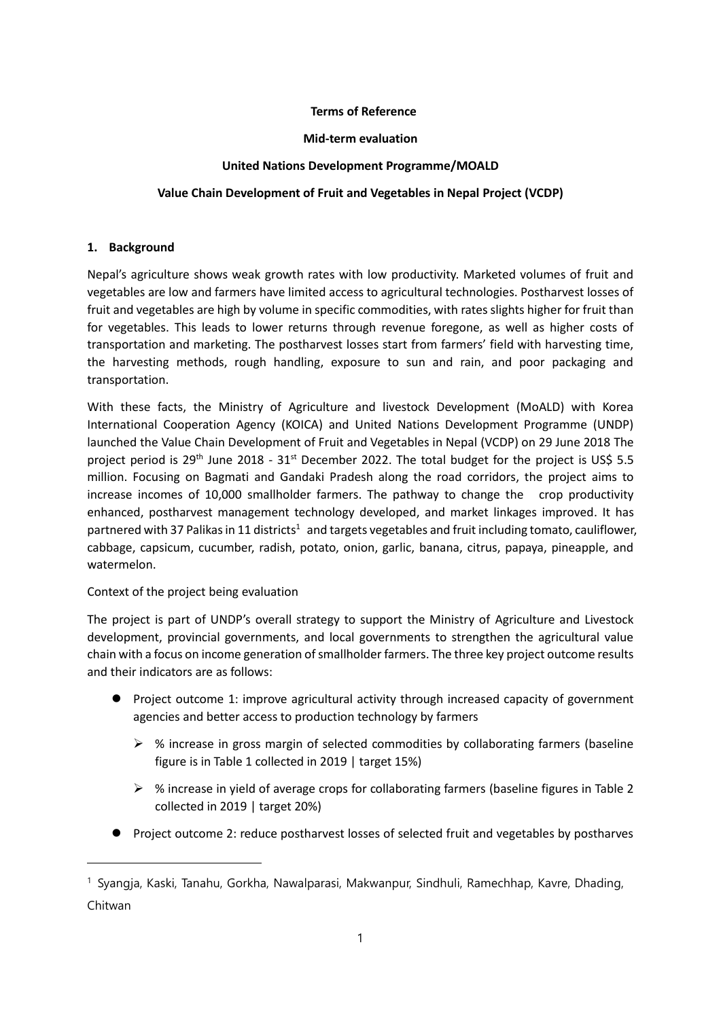### **Terms of Reference**

#### **Mid-term evaluation**

#### **United Nations Development Programme/MOALD**

### **Value Chain Development of Fruit and Vegetables in Nepal Project (VCDP)**

#### **1. Background**

Nepal's agriculture shows weak growth rates with low productivity. Marketed volumes of fruit and vegetables are low and farmers have limited access to agricultural technologies. Postharvest losses of fruit and vegetables are high by volume in specific commodities, with rates slights higher for fruit than for vegetables. This leads to lower returns through revenue foregone, as well as higher costs of transportation and marketing. The postharvest losses start from farmers' field with harvesting time, the harvesting methods, rough handling, exposure to sun and rain, and poor packaging and transportation.

With these facts, the Ministry of Agriculture and livestock Development (MoALD) with Korea International Cooperation Agency (KOICA) and United Nations Development Programme (UNDP) launched the Value Chain Development of Fruit and Vegetables in Nepal (VCDP) on 29 June 2018 The project period is  $29<sup>th</sup>$  June 2018 -  $31<sup>st</sup>$  December 2022. The total budget for the project is US\$ 5.5 million. Focusing on Bagmati and Gandaki Pradesh along the road corridors, the project aims to increase incomes of 10,000 smallholder farmers. The pathway to change the crop productivity enhanced, postharvest management technology developed, and market linkages improved. It has partnered with 37 Palikas in 11 districts<sup>1</sup> and targets vegetables and fruit including tomato, cauliflower, cabbage, capsicum, cucumber, radish, potato, onion, garlic, banana, citrus, papaya, pineapple, and watermelon.

Context of the project being evaluation

The project is part of UNDP's overall strategy to support the Ministry of Agriculture and Livestock development, provincial governments, and local governments to strengthen the agricultural value chain with a focus on income generation of smallholder farmers. The three key project outcome results and their indicators are as follows:

- ⚫ Project outcome 1: improve agricultural activity through increased capacity of government agencies and better access to production technology by farmers
	- $\triangleright$  % increase in gross margin of selected commodities by collaborating farmers (baseline figure is in Table 1 collected in 2019 | target 15%)
	- ➢ % increase in yield of average crops for collaborating farmers (baseline figures in Table 2 collected in 2019 | target 20%)
- Project outcome 2: reduce postharvest losses of selected fruit and vegetables by postharves

<sup>&</sup>lt;sup>1</sup> Syangja, Kaski, Tanahu, Gorkha, Nawalparasi, Makwanpur, Sindhuli, Ramechhap, Kavre, Dhading, Chitwan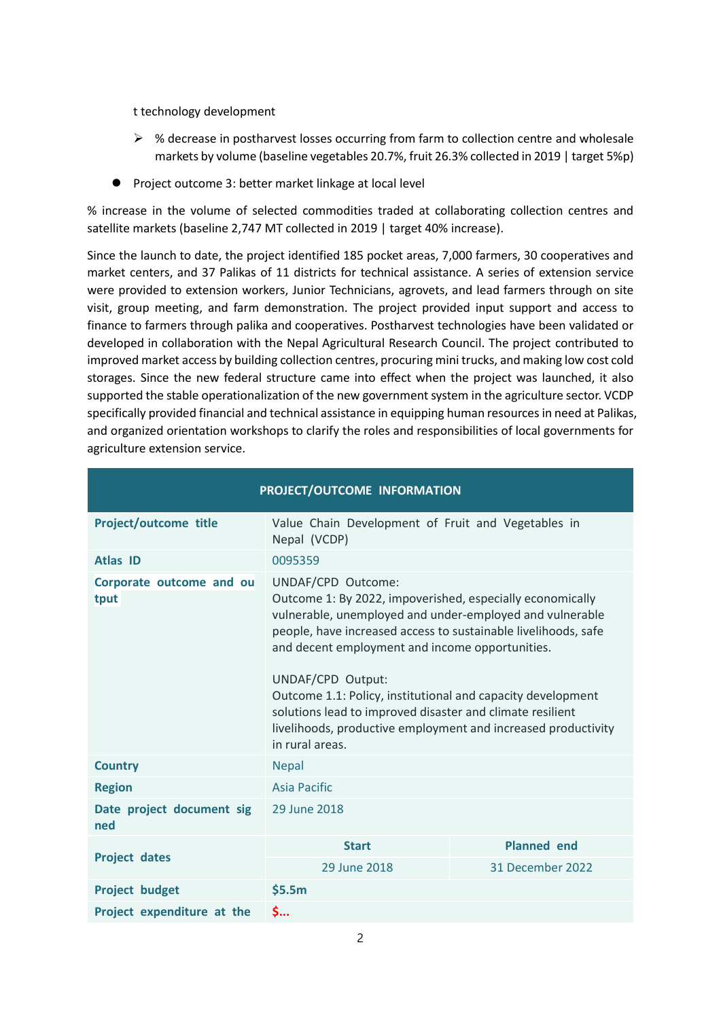t technology development

- $\triangleright$  % decrease in postharvest losses occurring from farm to collection centre and wholesale markets by volume (baseline vegetables 20.7%, fruit 26.3% collected in 2019 | target 5%p)
- ⚫ Project outcome 3: better market linkage at local level

% increase in the volume of selected commodities traded at collaborating collection centres and satellite markets (baseline 2,747 MT collected in 2019 | target 40% increase).

Since the launch to date, the project identified 185 pocket areas, 7,000 farmers, 30 cooperatives and market centers, and 37 Palikas of 11 districts for technical assistance. A series of extension service were provided to extension workers, Junior Technicians, agrovets, and lead farmers through on site visit, group meeting, and farm demonstration. The project provided input support and access to finance to farmers through palika and cooperatives. Postharvest technologies have been validated or developed in collaboration with the Nepal Agricultural Research Council. The project contributed to improved market access by building collection centres, procuring mini trucks, and making low cost cold storages. Since the new federal structure came into effect when the project was launched, it also supported the stable operationalization of the new government system in the agriculture sector. VCDP specifically provided financial and technical assistance in equipping human resources in need at Palikas, and organized orientation workshops to clarify the roles and responsibilities of local governments for agriculture extension service.

| PROJECT/OUTCOME INFORMATION      |                                                                                                                                                                                                                                                                                                                                                                                                                                                                                                       |                    |  |
|----------------------------------|-------------------------------------------------------------------------------------------------------------------------------------------------------------------------------------------------------------------------------------------------------------------------------------------------------------------------------------------------------------------------------------------------------------------------------------------------------------------------------------------------------|--------------------|--|
| Project/outcome title            | Value Chain Development of Fruit and Vegetables in<br>Nepal (VCDP)                                                                                                                                                                                                                                                                                                                                                                                                                                    |                    |  |
| <b>Atlas ID</b>                  | 0095359                                                                                                                                                                                                                                                                                                                                                                                                                                                                                               |                    |  |
| Corporate outcome and ou<br>tput | UNDAF/CPD Outcome:<br>Outcome 1: By 2022, impoverished, especially economically<br>vulnerable, unemployed and under-employed and vulnerable<br>people, have increased access to sustainable livelihoods, safe<br>and decent employment and income opportunities.<br>UNDAF/CPD Output:<br>Outcome 1.1: Policy, institutional and capacity development<br>solutions lead to improved disaster and climate resilient<br>livelihoods, productive employment and increased productivity<br>in rural areas. |                    |  |
| <b>Country</b>                   | <b>Nepal</b>                                                                                                                                                                                                                                                                                                                                                                                                                                                                                          |                    |  |
| <b>Region</b>                    | <b>Asia Pacific</b>                                                                                                                                                                                                                                                                                                                                                                                                                                                                                   |                    |  |
| Date project document sig<br>ned | 29 June 2018                                                                                                                                                                                                                                                                                                                                                                                                                                                                                          |                    |  |
|                                  | <b>Start</b>                                                                                                                                                                                                                                                                                                                                                                                                                                                                                          | <b>Planned</b> end |  |
| <b>Project dates</b>             | 29 June 2018                                                                                                                                                                                                                                                                                                                                                                                                                                                                                          | 31 December 2022   |  |
| <b>Project budget</b>            | \$5.5m                                                                                                                                                                                                                                                                                                                                                                                                                                                                                                |                    |  |
| Project expenditure at the       | \$                                                                                                                                                                                                                                                                                                                                                                                                                                                                                                    |                    |  |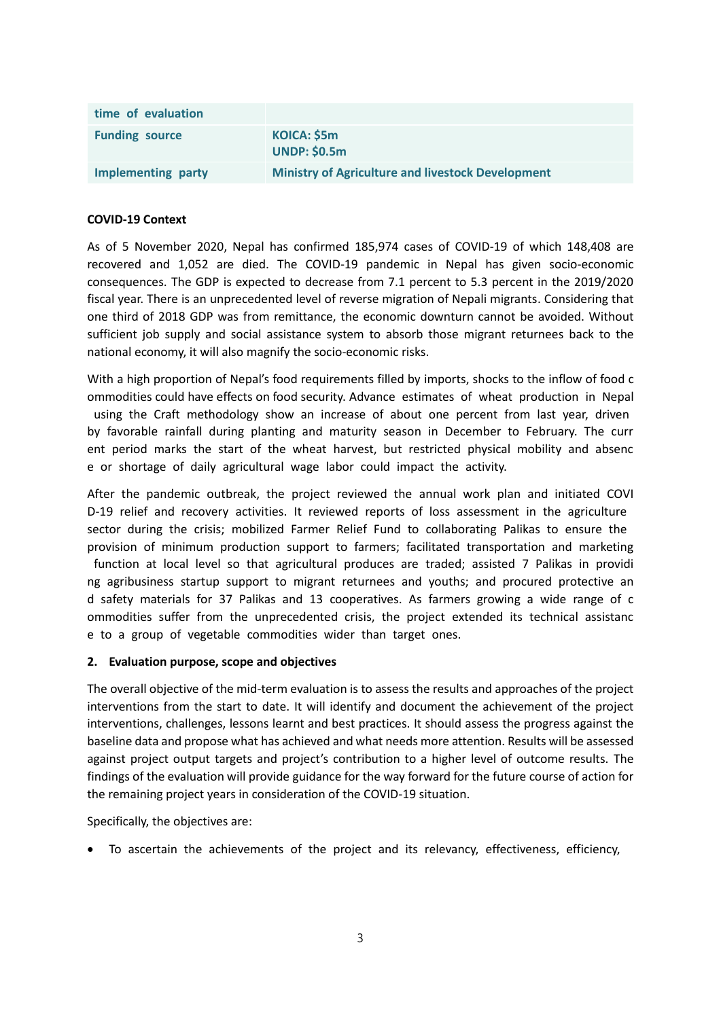| time of evaluation    |                                                          |
|-----------------------|----------------------------------------------------------|
| <b>Funding source</b> | KOICA: \$5m<br><b>UNDP: \$0.5m</b>                       |
| Implementing party    | <b>Ministry of Agriculture and livestock Development</b> |

#### **COVID-19 Context**

As of 5 November 2020, Nepal has confirmed 185,974 cases of COVID-19 of which 148,408 are recovered and 1,052 are died. The COVID-19 pandemic in Nepal has given socio-economic consequences. The GDP is expected to decrease from 7.1 percent to 5.3 percent in the 2019/2020 fiscal year. There is an unprecedented level of reverse migration of Nepali migrants. Considering that one third of 2018 GDP was from remittance, the economic downturn cannot be avoided. Without sufficient job supply and social assistance system to absorb those migrant returnees back to the national economy, it will also magnify the socio-economic risks.

With a high proportion of Nepal's food requirements filled by imports, shocks to the inflow of food c ommodities could have effects on food security. Advance estimates of wheat production in Nepal using the Craft methodology show an increase of about one percent from last year, driven by favorable rainfall during planting and maturity season in December to February. The curr ent period marks the start of the wheat harvest, but restricted physical mobility and absenc e or shortage of daily agricultural wage labor could impact the activity.

After the pandemic outbreak, the project reviewed the annual work plan and initiated COVI D-19 relief and recovery activities. It reviewed reports of loss assessment in the agriculture sector during the crisis; mobilized Farmer Relief Fund to collaborating Palikas to ensure the provision of minimum production support to farmers; facilitated transportation and marketing function at local level so that agricultural produces are traded; assisted 7 Palikas in providi ng agribusiness startup support to migrant returnees and youths; and procured protective an d safety materials for 37 Palikas and 13 cooperatives. As farmers growing a wide range of c ommodities suffer from the unprecedented crisis, the project extended its technical assistanc e to a group of vegetable commodities wider than target ones.

#### **2. Evaluation purpose, scope and objectives**

The overall objective of the mid-term evaluation is to assess the results and approaches of the project interventions from the start to date. It will identify and document the achievement of the project interventions, challenges, lessons learnt and best practices. It should assess the progress against the baseline data and propose what has achieved and what needs more attention. Results will be assessed against project output targets and project's contribution to a higher level of outcome results. The findings of the evaluation will provide guidance for the way forward for the future course of action for the remaining project years in consideration of the COVID-19 situation.

Specifically, the objectives are:

• To ascertain the achievements of the project and its relevancy, effectiveness, efficiency,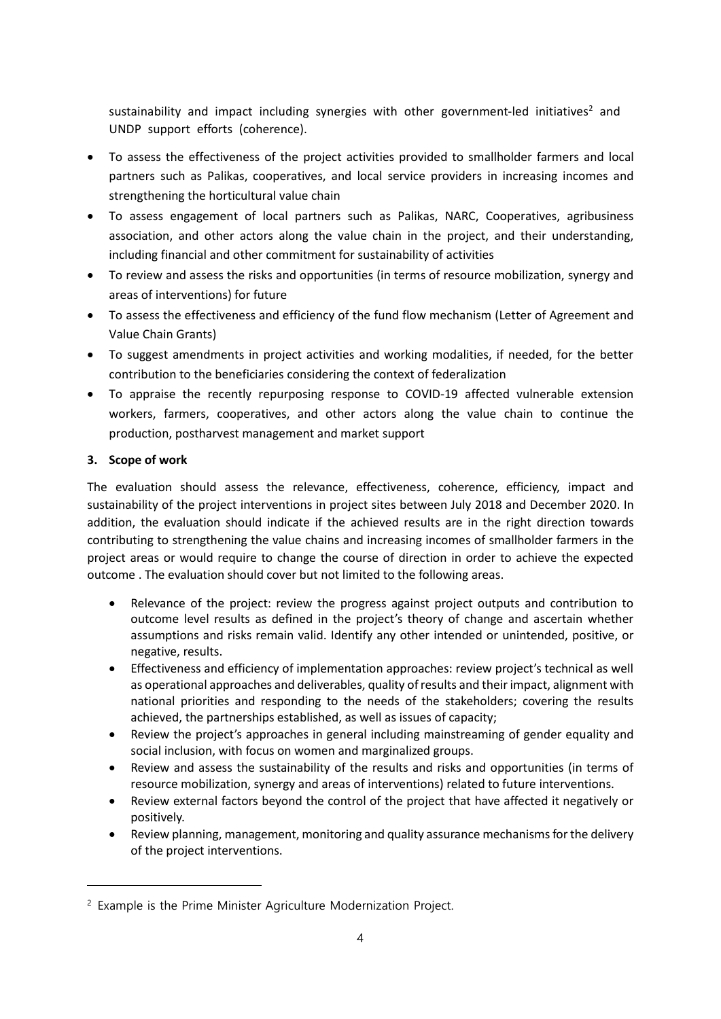sustainability and impact including synergies with other government-led initiatives<sup>2</sup> and UNDP support efforts (coherence).

- To assess the effectiveness of the project activities provided to smallholder farmers and local partners such as Palikas, cooperatives, and local service providers in increasing incomes and strengthening the horticultural value chain
- To assess engagement of local partners such as Palikas, NARC, Cooperatives, agribusiness association, and other actors along the value chain in the project, and their understanding, including financial and other commitment for sustainability of activities
- To review and assess the risks and opportunities (in terms of resource mobilization, synergy and areas of interventions) for future
- To assess the effectiveness and efficiency of the fund flow mechanism (Letter of Agreement and Value Chain Grants)
- To suggest amendments in project activities and working modalities, if needed, for the better contribution to the beneficiaries considering the context of federalization
- To appraise the recently repurposing response to COVID-19 affected vulnerable extension workers, farmers, cooperatives, and other actors along the value chain to continue the production, postharvest management and market support

## **3. Scope of work**

The evaluation should assess the relevance, effectiveness, coherence, efficiency, impact and sustainability of the project interventions in project sites between July 2018 and December 2020. In addition, the evaluation should indicate if the achieved results are in the right direction towards contributing to strengthening the value chains and increasing incomes of smallholder farmers in the project areas or would require to change the course of direction in order to achieve the expected outcome . The evaluation should cover but not limited to the following areas.

- Relevance of the project: review the progress against project outputs and contribution to outcome level results as defined in the project's theory of change and ascertain whether assumptions and risks remain valid. Identify any other intended or unintended, positive, or negative, results.
- Effectiveness and efficiency of implementation approaches: review project's technical as well as operational approaches and deliverables, quality of results and their impact, alignment with national priorities and responding to the needs of the stakeholders; covering the results achieved, the partnerships established, as well as issues of capacity;
- Review the project's approaches in general including mainstreaming of gender equality and social inclusion, with focus on women and marginalized groups.
- Review and assess the sustainability of the results and risks and opportunities (in terms of resource mobilization, synergy and areas of interventions) related to future interventions.
- Review external factors beyond the control of the project that have affected it negatively or positively.
- Review planning, management, monitoring and quality assurance mechanisms for the delivery of the project interventions.

<sup>2</sup> Example is the Prime Minister Agriculture Modernization Project.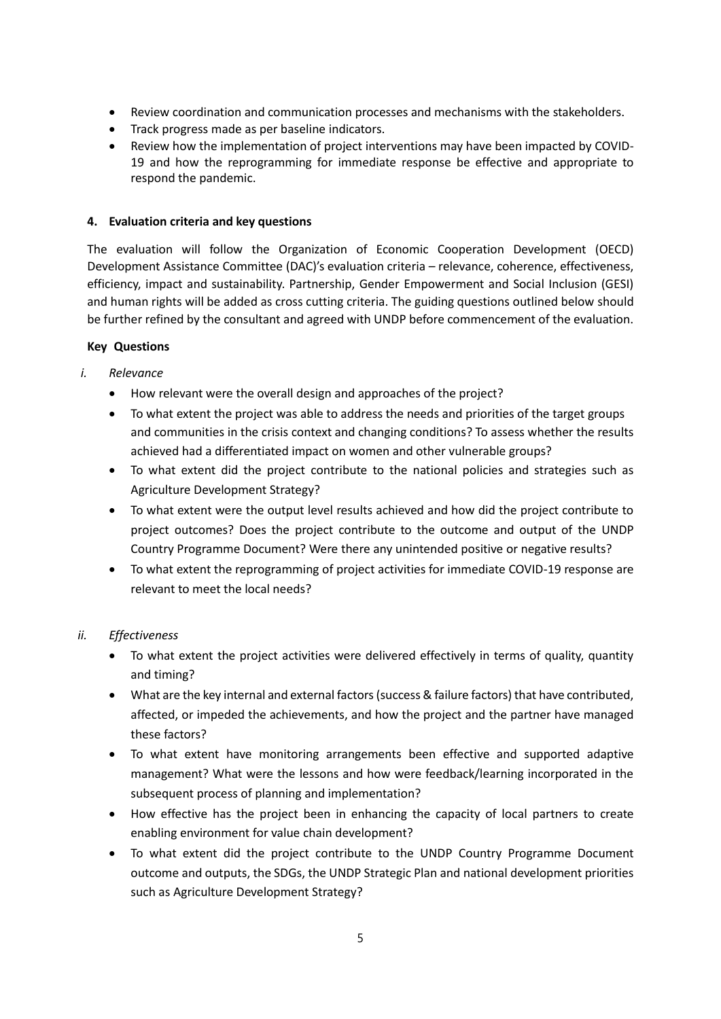- Review coordination and communication processes and mechanisms with the stakeholders.
- Track progress made as per baseline indicators.
- Review how the implementation of project interventions may have been impacted by COVID-19 and how the reprogramming for immediate response be effective and appropriate to respond the pandemic.

### **4. Evaluation criteria and key questions**

The evaluation will follow the Organization of Economic Cooperation Development (OECD) Development Assistance Committee (DAC)'s evaluation criteria – relevance, coherence, effectiveness, efficiency, impact and sustainability. Partnership, Gender Empowerment and Social Inclusion (GESI) and human rights will be added as cross cutting criteria. The guiding questions outlined below should be further refined by the consultant and agreed with UNDP before commencement of the evaluation.

## **Key Questions**

- *i. Relevance* 
	- How relevant were the overall design and approaches of the project?
	- To what extent the project was able to address the needs and priorities of the target groups and communities in the crisis context and changing conditions? To assess whether the results achieved had a differentiated impact on women and other vulnerable groups?
	- To what extent did the project contribute to the national policies and strategies such as Agriculture Development Strategy?
	- To what extent were the output level results achieved and how did the project contribute to project outcomes? Does the project contribute to the outcome and output of the UNDP Country Programme Document? Were there any unintended positive or negative results?
	- To what extent the reprogramming of project activities for immediate COVID-19 response are relevant to meet the local needs?

## *ii. Effectiveness*

- To what extent the project activities were delivered effectively in terms of quality, quantity and timing?
- What are the key internal and external factors (success & failure factors) that have contributed, affected, or impeded the achievements, and how the project and the partner have managed these factors?
- To what extent have monitoring arrangements been effective and supported adaptive management? What were the lessons and how were feedback/learning incorporated in the subsequent process of planning and implementation?
- How effective has the project been in enhancing the capacity of local partners to create enabling environment for value chain development?
- To what extent did the project contribute to the UNDP Country Programme Document outcome and outputs, the SDGs, the UNDP Strategic Plan and national development priorities such as Agriculture Development Strategy?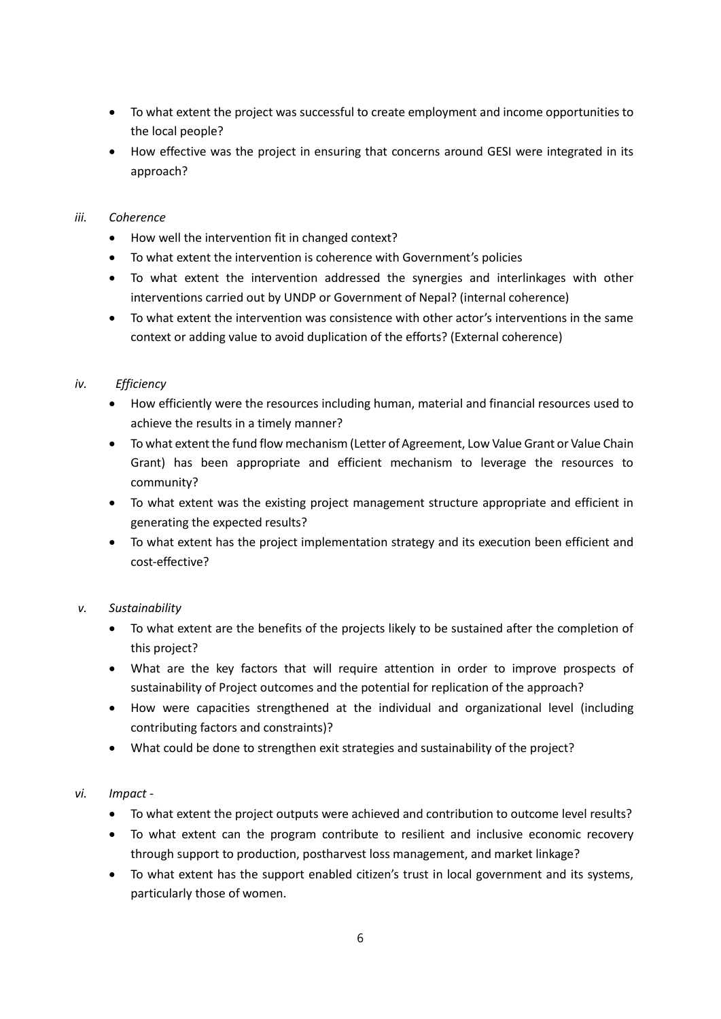- To what extent the project was successful to create employment and income opportunities to the local people?
- How effective was the project in ensuring that concerns around GESI were integrated in its approach?

### *iii. Coherence*

- How well the intervention fit in changed context?
- To what extent the intervention is coherence with Government's policies
- To what extent the intervention addressed the synergies and interlinkages with other interventions carried out by UNDP or Government of Nepal? (internal coherence)
- To what extent the intervention was consistence with other actor's interventions in the same context or adding value to avoid duplication of the efforts? (External coherence)

## *iv. Efficiency*

- How efficiently were the resources including human, material and financial resources used to achieve the results in a timely manner?
- To what extent the fund flow mechanism (Letter of Agreement, Low Value Grant or Value Chain Grant) has been appropriate and efficient mechanism to leverage the resources to community?
- To what extent was the existing project management structure appropriate and efficient in generating the expected results?
- To what extent has the project implementation strategy and its execution been efficient and cost-effective?

## *v. Sustainability*

- To what extent are the benefits of the projects likely to be sustained after the completion of this project?
- What are the key factors that will require attention in order to improve prospects of sustainability of Project outcomes and the potential for replication of the approach?
- How were capacities strengthened at the individual and organizational level (including contributing factors and constraints)?
- What could be done to strengthen exit strategies and sustainability of the project?

## *vi. Impact -*

- To what extent the project outputs were achieved and contribution to outcome level results?
- To what extent can the program contribute to resilient and inclusive economic recovery through support to production, postharvest loss management, and market linkage?
- To what extent has the support enabled citizen's trust in local government and its systems, particularly those of women.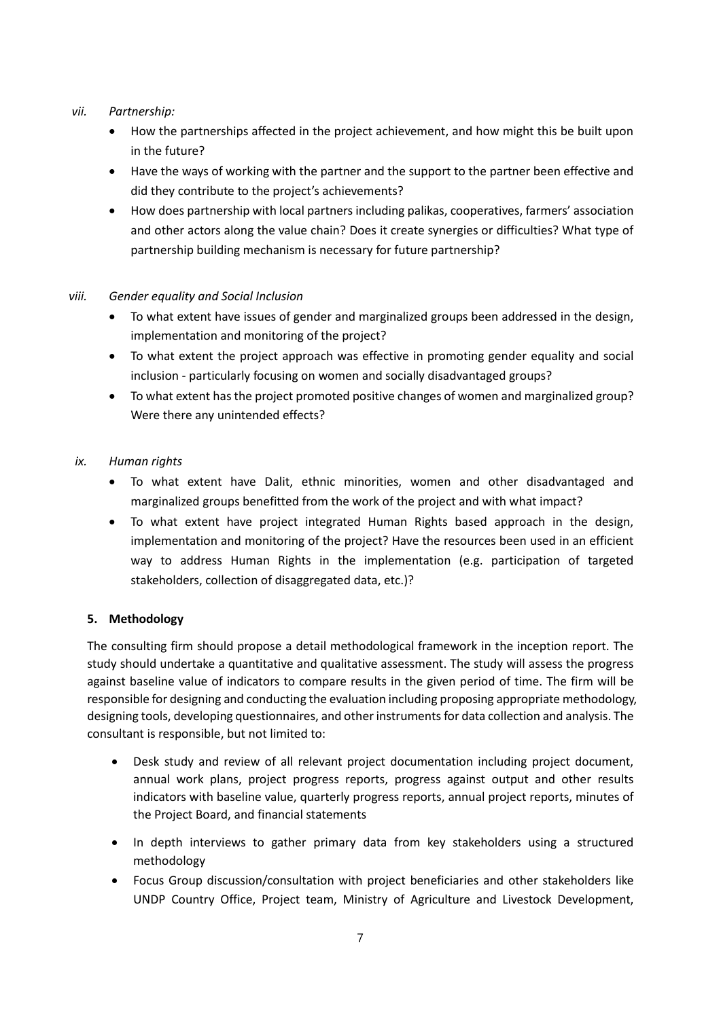### *vii. Partnership:*

- How the partnerships affected in the project achievement, and how might this be built upon in the future?
- Have the ways of working with the partner and the support to the partner been effective and did they contribute to the project's achievements?
- How does partnership with local partners including palikas, cooperatives, farmers' association and other actors along the value chain? Does it create synergies or difficulties? What type of partnership building mechanism is necessary for future partnership?

## *viii. Gender equality and Social Inclusion*

- To what extent have issues of gender and marginalized groups been addressed in the design, implementation and monitoring of the project?
- To what extent the project approach was effective in promoting gender equality and social inclusion - particularly focusing on women and socially disadvantaged groups?
- To what extent has the project promoted positive changes of women and marginalized group? Were there any unintended effects?

## *ix. Human rights*

- To what extent have Dalit, ethnic minorities, women and other disadvantaged and marginalized groups benefitted from the work of the project and with what impact?
- To what extent have project integrated Human Rights based approach in the design, implementation and monitoring of the project? Have the resources been used in an efficient way to address Human Rights in the implementation (e.g. participation of targeted stakeholders, collection of disaggregated data, etc.)?

## **5. Methodology**

The consulting firm should propose a detail methodological framework in the inception report. The study should undertake a quantitative and qualitative assessment. The study will assess the progress against baseline value of indicators to compare results in the given period of time. The firm will be responsible for designing and conducting the evaluation including proposing appropriate methodology, designing tools, developing questionnaires, and other instruments for data collection and analysis. The consultant is responsible, but not limited to:

- Desk study and review of all relevant project documentation including project document, annual work plans, project progress reports, progress against output and other results indicators with baseline value, quarterly progress reports, annual project reports, minutes of the Project Board, and financial statements
- In depth interviews to gather primary data from key stakeholders using a structured methodology
- Focus Group discussion/consultation with project beneficiaries and other stakeholders like UNDP Country Office, Project team, Ministry of Agriculture and Livestock Development,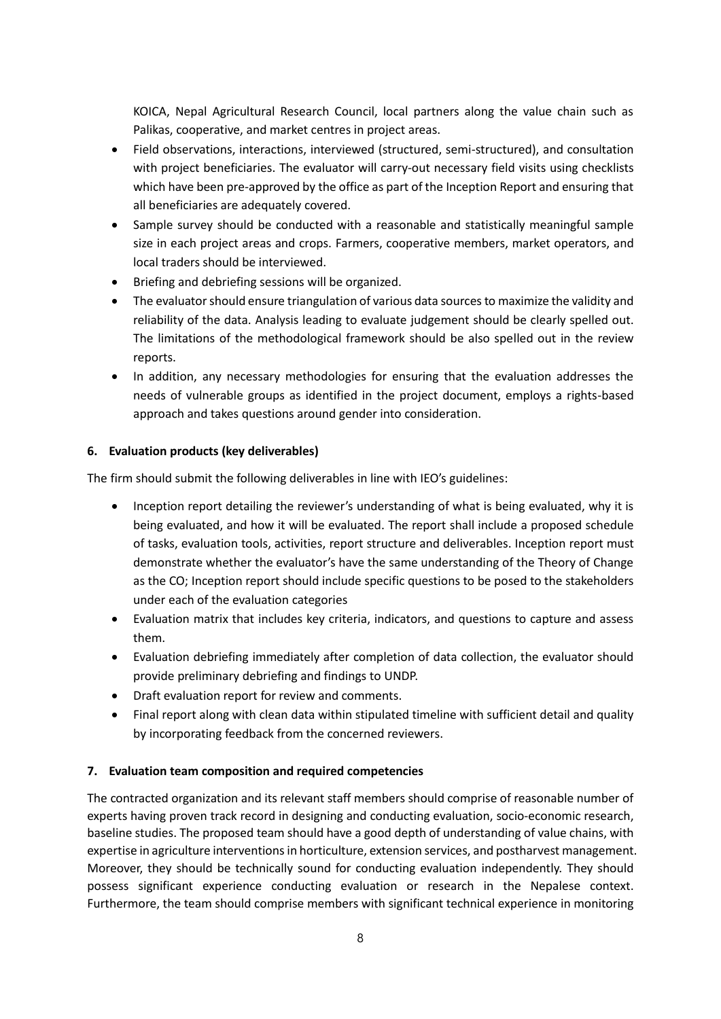KOICA, Nepal Agricultural Research Council, local partners along the value chain such as Palikas, cooperative, and market centres in project areas.

- Field observations, interactions, interviewed (structured, semi-structured), and consultation with project beneficiaries. The evaluator will carry-out necessary field visits using checklists which have been pre-approved by the office as part of the Inception Report and ensuring that all beneficiaries are adequately covered.
- Sample survey should be conducted with a reasonable and statistically meaningful sample size in each project areas and crops. Farmers, cooperative members, market operators, and local traders should be interviewed.
- Briefing and debriefing sessions will be organized.
- The evaluator should ensure triangulation of various data sources to maximize the validity and reliability of the data. Analysis leading to evaluate judgement should be clearly spelled out. The limitations of the methodological framework should be also spelled out in the review reports.
- In addition, any necessary methodologies for ensuring that the evaluation addresses the needs of vulnerable groups as identified in the project document, employs a rights-based approach and takes questions around gender into consideration.

#### **6. Evaluation products (key deliverables)**

The firm should submit the following deliverables in line with IEO's guidelines:

- Inception report detailing the reviewer's understanding of what is being evaluated, why it is being evaluated, and how it will be evaluated. The report shall include a proposed schedule of tasks, evaluation tools, activities, report structure and deliverables. Inception report must demonstrate whether the evaluator's have the same understanding of the Theory of Change as the CO; Inception report should include specific questions to be posed to the stakeholders under each of the evaluation categories
- Evaluation matrix that includes key criteria, indicators, and questions to capture and assess them.
- Evaluation debriefing immediately after completion of data collection, the evaluator should provide preliminary debriefing and findings to UNDP.
- Draft evaluation report for review and comments.
- Final report along with clean data within stipulated timeline with sufficient detail and quality by incorporating feedback from the concerned reviewers.

#### **7. Evaluation team composition and required competencies**

The contracted organization and its relevant staff members should comprise of reasonable number of experts having proven track record in designing and conducting evaluation, socio-economic research, baseline studies. The proposed team should have a good depth of understanding of value chains, with expertise in agriculture interventions in horticulture, extension services, and postharvest management. Moreover, they should be technically sound for conducting evaluation independently. They should possess significant experience conducting evaluation or research in the Nepalese context. Furthermore, the team should comprise members with significant technical experience in monitoring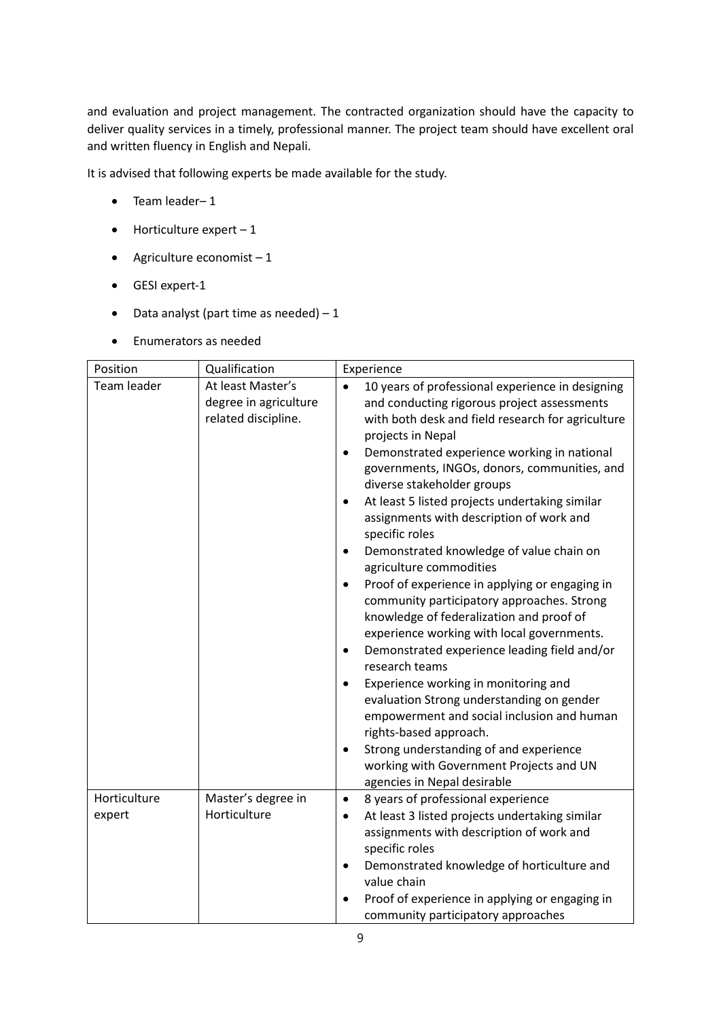and evaluation and project management. The contracted organization should have the capacity to deliver quality services in a timely, professional manner. The project team should have excellent oral and written fluency in English and Nepali.

It is advised that following experts be made available for the study.

- Team leader– 1
- $\bullet$  Horticulture expert  $-1$
- Agriculture economist  $-1$
- GESI expert-1
- Data analyst (part time as needed)  $-1$
- Enumerators as needed

| Position               | Qualification                                                     | Experience                                                                                                                                                                                                                                                                                                                                                                                                                                                                                                                                                                                                                                                                                                                                                                                                                                                                                                                                                                                                                                                                                       |
|------------------------|-------------------------------------------------------------------|--------------------------------------------------------------------------------------------------------------------------------------------------------------------------------------------------------------------------------------------------------------------------------------------------------------------------------------------------------------------------------------------------------------------------------------------------------------------------------------------------------------------------------------------------------------------------------------------------------------------------------------------------------------------------------------------------------------------------------------------------------------------------------------------------------------------------------------------------------------------------------------------------------------------------------------------------------------------------------------------------------------------------------------------------------------------------------------------------|
| Team leader            | At least Master's<br>degree in agriculture<br>related discipline. | 10 years of professional experience in designing<br>and conducting rigorous project assessments<br>with both desk and field research for agriculture<br>projects in Nepal<br>Demonstrated experience working in national<br>$\bullet$<br>governments, INGOs, donors, communities, and<br>diverse stakeholder groups<br>At least 5 listed projects undertaking similar<br>$\bullet$<br>assignments with description of work and<br>specific roles<br>Demonstrated knowledge of value chain on<br>$\bullet$<br>agriculture commodities<br>Proof of experience in applying or engaging in<br>٠<br>community participatory approaches. Strong<br>knowledge of federalization and proof of<br>experience working with local governments.<br>Demonstrated experience leading field and/or<br>٠<br>research teams<br>Experience working in monitoring and<br>٠<br>evaluation Strong understanding on gender<br>empowerment and social inclusion and human<br>rights-based approach.<br>Strong understanding of and experience<br>working with Government Projects and UN<br>agencies in Nepal desirable |
| Horticulture<br>expert | Master's degree in<br>Horticulture                                | 8 years of professional experience<br>$\bullet$<br>At least 3 listed projects undertaking similar<br>$\bullet$<br>assignments with description of work and<br>specific roles<br>Demonstrated knowledge of horticulture and<br>٠<br>value chain<br>Proof of experience in applying or engaging in<br>community participatory approaches                                                                                                                                                                                                                                                                                                                                                                                                                                                                                                                                                                                                                                                                                                                                                           |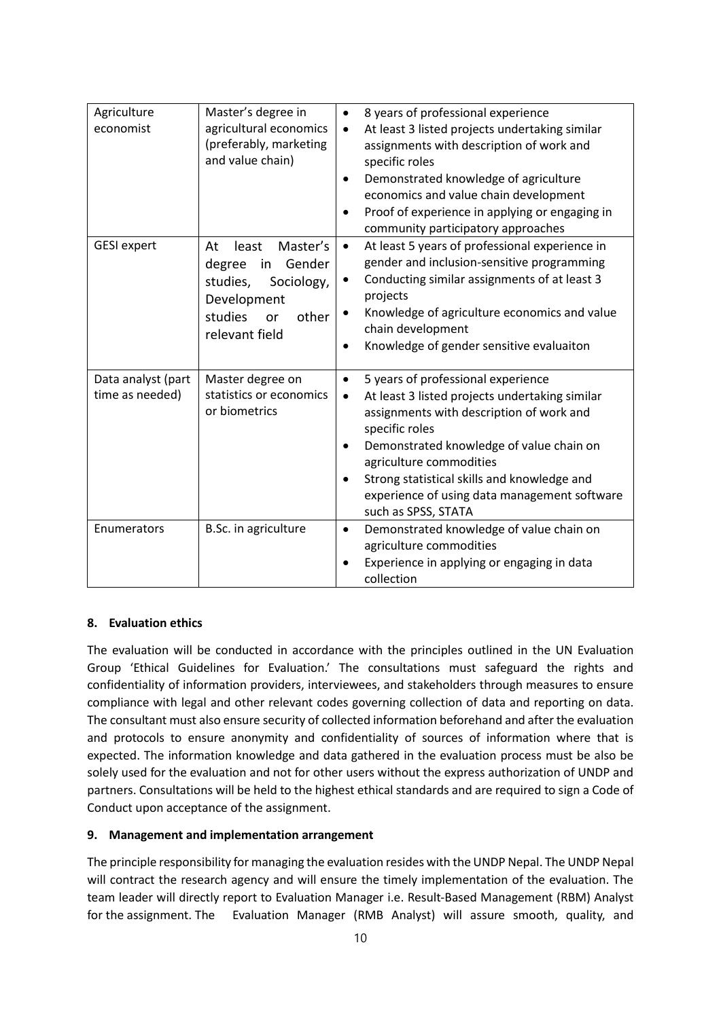| Agriculture<br>economist              | Master's degree in<br>agricultural economics<br>(preferably, marketing<br>and value chain)                                             | 8 years of professional experience<br>$\bullet$<br>At least 3 listed projects undertaking similar<br>$\bullet$<br>assignments with description of work and<br>specific roles<br>Demonstrated knowledge of agriculture<br>economics and value chain development<br>Proof of experience in applying or engaging in<br>community participatory approaches                    |
|---------------------------------------|----------------------------------------------------------------------------------------------------------------------------------------|---------------------------------------------------------------------------------------------------------------------------------------------------------------------------------------------------------------------------------------------------------------------------------------------------------------------------------------------------------------------------|
| <b>GESI</b> expert                    | Master's<br>At<br>least<br>Gender<br>degree<br>in<br>studies,<br>Sociology,<br>Development<br>studies<br>other<br>or<br>relevant field | At least 5 years of professional experience in<br>$\bullet$<br>gender and inclusion-sensitive programming<br>Conducting similar assignments of at least 3<br>$\bullet$<br>projects<br>Knowledge of agriculture economics and value<br>٠<br>chain development<br>Knowledge of gender sensitive evaluaiton                                                                  |
| Data analyst (part<br>time as needed) | Master degree on<br>statistics or economics<br>or biometrics                                                                           | 5 years of professional experience<br>$\bullet$<br>At least 3 listed projects undertaking similar<br>$\bullet$<br>assignments with description of work and<br>specific roles<br>Demonstrated knowledge of value chain on<br>agriculture commodities<br>Strong statistical skills and knowledge and<br>experience of using data management software<br>such as SPSS, STATA |
| Enumerators                           | B.Sc. in agriculture                                                                                                                   | Demonstrated knowledge of value chain on<br>$\bullet$<br>agriculture commodities<br>Experience in applying or engaging in data<br>collection                                                                                                                                                                                                                              |

## **8. Evaluation ethics**

The evaluation will be conducted in accordance with the principles outlined in the UN Evaluation Group 'Ethical Guidelines for Evaluation.' The consultations must safeguard the rights and confidentiality of information providers, interviewees, and stakeholders through measures to ensure compliance with legal and other relevant codes governing collection of data and reporting on data. The consultant must also ensure security of collected information beforehand and after the evaluation and protocols to ensure anonymity and confidentiality of sources of information where that is expected. The information knowledge and data gathered in the evaluation process must be also be solely used for the evaluation and not for other users without the express authorization of UNDP and partners. Consultations will be held to the highest ethical standards and are required to sign a Code of Conduct upon acceptance of the assignment.

#### **9. Management and implementation arrangement**

The principle responsibility for managing the evaluation resides with the UNDP Nepal. The UNDP Nepal will contract the research agency and will ensure the timely implementation of the evaluation. The team leader will directly report to Evaluation Manager i.e. Result-Based Management (RBM) Analyst for the assignment. The Evaluation Manager (RMB Analyst) will assure smooth, quality, and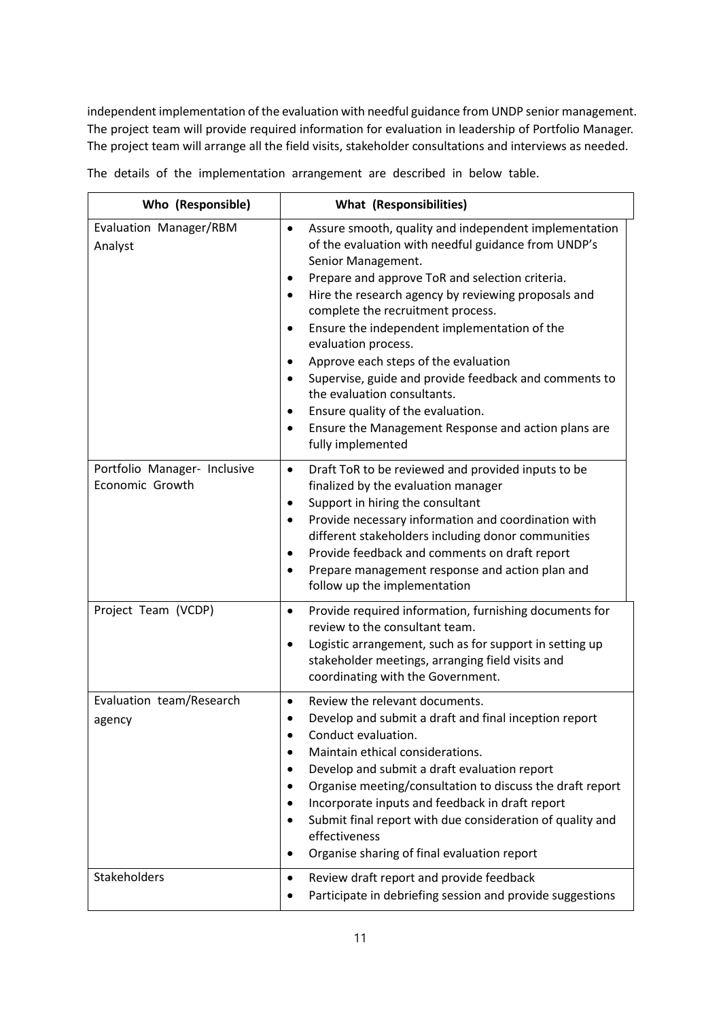independent implementation of the evaluation with needful guidance from UNDP senior management. The project team will provide required information for evaluation in leadership of Portfolio Manager. The project team will arrange all the field visits, stakeholder consultations and interviews as needed.

| Who (Responsible)                               | <b>What (Responsibilities)</b>                                                                                                                                                                                                                                                                                                                                                                                                                                                                                                                                                                                                                                                                    |
|-------------------------------------------------|---------------------------------------------------------------------------------------------------------------------------------------------------------------------------------------------------------------------------------------------------------------------------------------------------------------------------------------------------------------------------------------------------------------------------------------------------------------------------------------------------------------------------------------------------------------------------------------------------------------------------------------------------------------------------------------------------|
| Evaluation Manager/RBM<br>Analyst               | Assure smooth, quality and independent implementation<br>$\bullet$<br>of the evaluation with needful guidance from UNDP's<br>Senior Management.<br>Prepare and approve ToR and selection criteria.<br>٠<br>Hire the research agency by reviewing proposals and<br>$\bullet$<br>complete the recruitment process.<br>Ensure the independent implementation of the<br>٠<br>evaluation process.<br>Approve each steps of the evaluation<br>$\bullet$<br>Supervise, guide and provide feedback and comments to<br>$\bullet$<br>the evaluation consultants.<br>Ensure quality of the evaluation.<br>$\bullet$<br>Ensure the Management Response and action plans are<br>$\bullet$<br>fully implemented |
| Portfolio Manager- Inclusive<br>Economic Growth | Draft ToR to be reviewed and provided inputs to be<br>$\bullet$<br>finalized by the evaluation manager<br>Support in hiring the consultant<br>$\bullet$<br>Provide necessary information and coordination with<br>$\bullet$<br>different stakeholders including donor communities<br>Provide feedback and comments on draft report<br>$\bullet$<br>Prepare management response and action plan and<br>$\bullet$<br>follow up the implementation                                                                                                                                                                                                                                                   |
| Project Team (VCDP)                             | Provide required information, furnishing documents for<br>$\bullet$<br>review to the consultant team.<br>Logistic arrangement, such as for support in setting up<br>$\bullet$<br>stakeholder meetings, arranging field visits and<br>coordinating with the Government.                                                                                                                                                                                                                                                                                                                                                                                                                            |
| Evaluation team/Research<br>agency              | Review the relevant documents.<br>$\bullet$<br>Develop and submit a draft and final inception report<br>Conduct evaluation.<br>Maintain ethical considerations.<br>$\bullet$<br>Develop and submit a draft evaluation report<br>Organise meeting/consultation to discuss the draft report<br>Incorporate inputs and feedback in draft report<br>Submit final report with due consideration of quality and<br>effectiveness<br>Organise sharing of final evaluation report<br>$\bullet$                                                                                                                                                                                                            |
| Stakeholders                                    | Review draft report and provide feedback<br>٠<br>Participate in debriefing session and provide suggestions                                                                                                                                                                                                                                                                                                                                                                                                                                                                                                                                                                                        |

The details of the implementation arrangement are described in below table.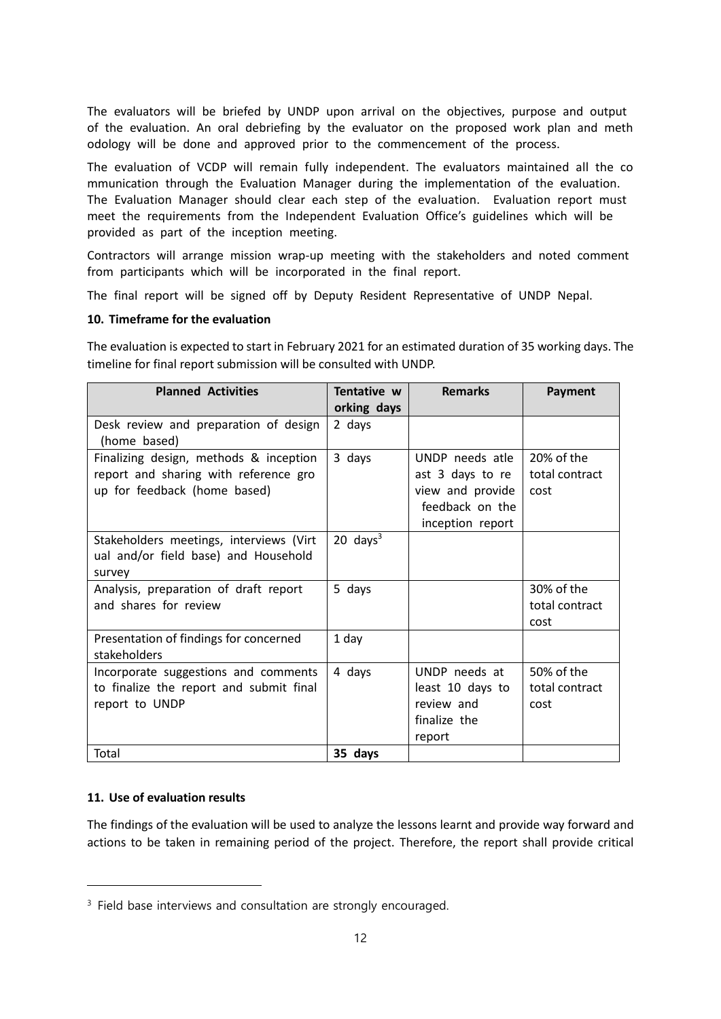The evaluators will be briefed by UNDP upon arrival on the objectives, purpose and output of the evaluation. An oral debriefing by the evaluator on the proposed work plan and meth odology will be done and approved prior to the commencement of the process.

The evaluation of VCDP will remain fully independent. The evaluators maintained all the co mmunication through the Evaluation Manager during the implementation of the evaluation. The Evaluation Manager should clear each step of the evaluation. Evaluation report must meet the requirements from the Independent Evaluation Office's guidelines which will be provided as part of the inception meeting.

Contractors will arrange mission wrap-up meeting with the stakeholders and noted comment from participants which will be incorporated in the final report.

The final report will be signed off by Deputy Resident Representative of UNDP Nepal.

#### **10. Timeframe for the evaluation**

The evaluation is expected to start in February 2021 for an estimated duration of 35 working days. The timeline for final report submission will be consulted with UNDP.

| <b>Planned Activities</b>               | Tentative w         | <b>Remarks</b>   | Payment        |
|-----------------------------------------|---------------------|------------------|----------------|
|                                         | orking days         |                  |                |
| Desk review and preparation of design   | 2 days              |                  |                |
| (home based)                            |                     |                  |                |
| Finalizing design, methods & inception  | 3 days              | UNDP needs atle  | 20% of the     |
| report and sharing with reference gro   |                     | ast 3 days to re | total contract |
| up for feedback (home based)            |                     | view and provide | cost           |
|                                         |                     | feedback on the  |                |
|                                         |                     | inception report |                |
| Stakeholders meetings, interviews (Virt | $20 \text{ days}^3$ |                  |                |
| ual and/or field base) and Household    |                     |                  |                |
| survey                                  |                     |                  |                |
| Analysis, preparation of draft report   | 5 days              |                  | 30% of the     |
| and shares for review                   |                     |                  | total contract |
|                                         |                     |                  | cost           |
| Presentation of findings for concerned  | 1 day               |                  |                |
| stakeholders                            |                     |                  |                |
| Incorporate suggestions and comments    | 4 days              | UNDP needs at    | 50% of the     |
| to finalize the report and submit final |                     | least 10 days to | total contract |
| report to UNDP                          |                     | review and       | cost           |
|                                         |                     | finalize the     |                |
|                                         |                     | report           |                |
| Total                                   | 35 days             |                  |                |

#### **11. Use of evaluation results**

The findings of the evaluation will be used to analyze the lessons learnt and provide way forward and actions to be taken in remaining period of the project. Therefore, the report shall provide critical

<sup>&</sup>lt;sup>3</sup> Field base interviews and consultation are strongly encouraged.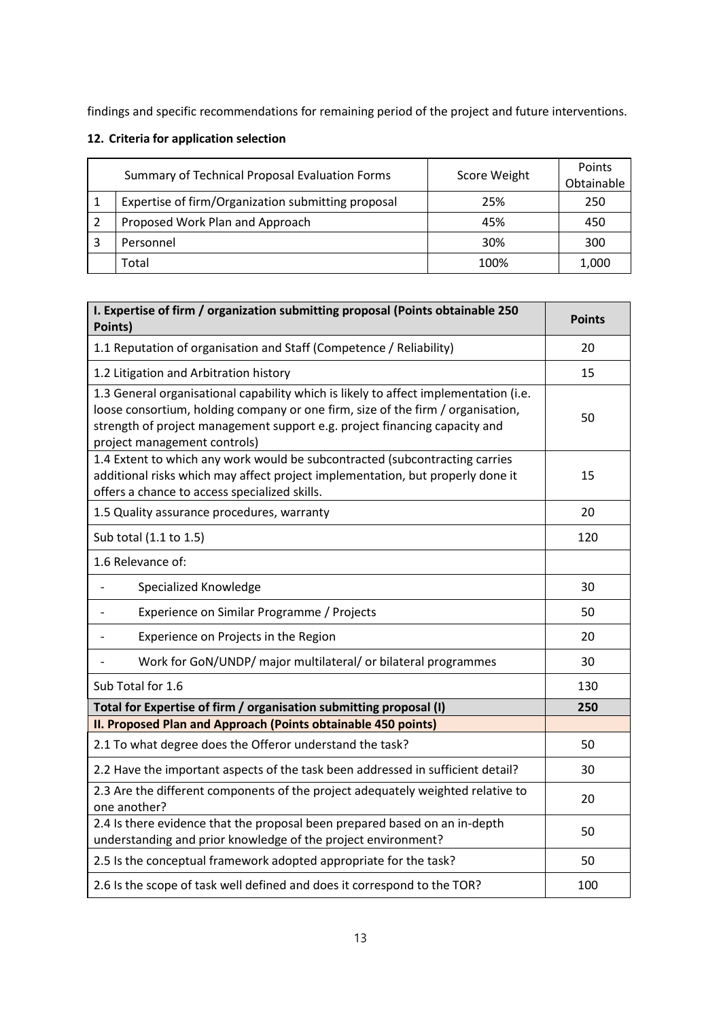findings and specific recommendations for remaining period of the project and future interventions.

# **12. Criteria for application selection**

| Summary of Technical Proposal Evaluation Forms     | Score Weight | Points<br>Obtainable |
|----------------------------------------------------|--------------|----------------------|
| Expertise of firm/Organization submitting proposal | 25%          | 250                  |
| Proposed Work Plan and Approach                    | 45%          | 450                  |
| Personnel                                          | 30%          | 300                  |
| Total                                              | 100%         | 1,000                |

| I. Expertise of firm / organization submitting proposal (Points obtainable 250<br>Points)                                                                                                                                                                                             | <b>Points</b> |
|---------------------------------------------------------------------------------------------------------------------------------------------------------------------------------------------------------------------------------------------------------------------------------------|---------------|
| 1.1 Reputation of organisation and Staff (Competence / Reliability)                                                                                                                                                                                                                   | 20            |
| 1.2 Litigation and Arbitration history                                                                                                                                                                                                                                                | 15            |
| 1.3 General organisational capability which is likely to affect implementation (i.e.<br>loose consortium, holding company or one firm, size of the firm / organisation,<br>strength of project management support e.g. project financing capacity and<br>project management controls) | 50            |
| 1.4 Extent to which any work would be subcontracted (subcontracting carries<br>additional risks which may affect project implementation, but properly done it<br>offers a chance to access specialized skills.                                                                        | 15            |
| 1.5 Quality assurance procedures, warranty                                                                                                                                                                                                                                            | 20            |
| Sub total (1.1 to 1.5)                                                                                                                                                                                                                                                                | 120           |
| 1.6 Relevance of:                                                                                                                                                                                                                                                                     |               |
| Specialized Knowledge                                                                                                                                                                                                                                                                 | 30            |
| Experience on Similar Programme / Projects                                                                                                                                                                                                                                            | 50            |
| Experience on Projects in the Region                                                                                                                                                                                                                                                  | 20            |
| Work for GoN/UNDP/ major multilateral/ or bilateral programmes                                                                                                                                                                                                                        | 30            |
| Sub Total for 1.6                                                                                                                                                                                                                                                                     | 130           |
| Total for Expertise of firm / organisation submitting proposal (I)                                                                                                                                                                                                                    | 250           |
| II. Proposed Plan and Approach (Points obtainable 450 points)                                                                                                                                                                                                                         |               |
| 2.1 To what degree does the Offeror understand the task?                                                                                                                                                                                                                              | 50            |
| 2.2 Have the important aspects of the task been addressed in sufficient detail?                                                                                                                                                                                                       | 30            |
| 2.3 Are the different components of the project adequately weighted relative to<br>one another?                                                                                                                                                                                       | 20            |
| 2.4 Is there evidence that the proposal been prepared based on an in-depth<br>understanding and prior knowledge of the project environment?                                                                                                                                           | 50            |
| 2.5 Is the conceptual framework adopted appropriate for the task?                                                                                                                                                                                                                     | 50            |
| 2.6 Is the scope of task well defined and does it correspond to the TOR?                                                                                                                                                                                                              | 100           |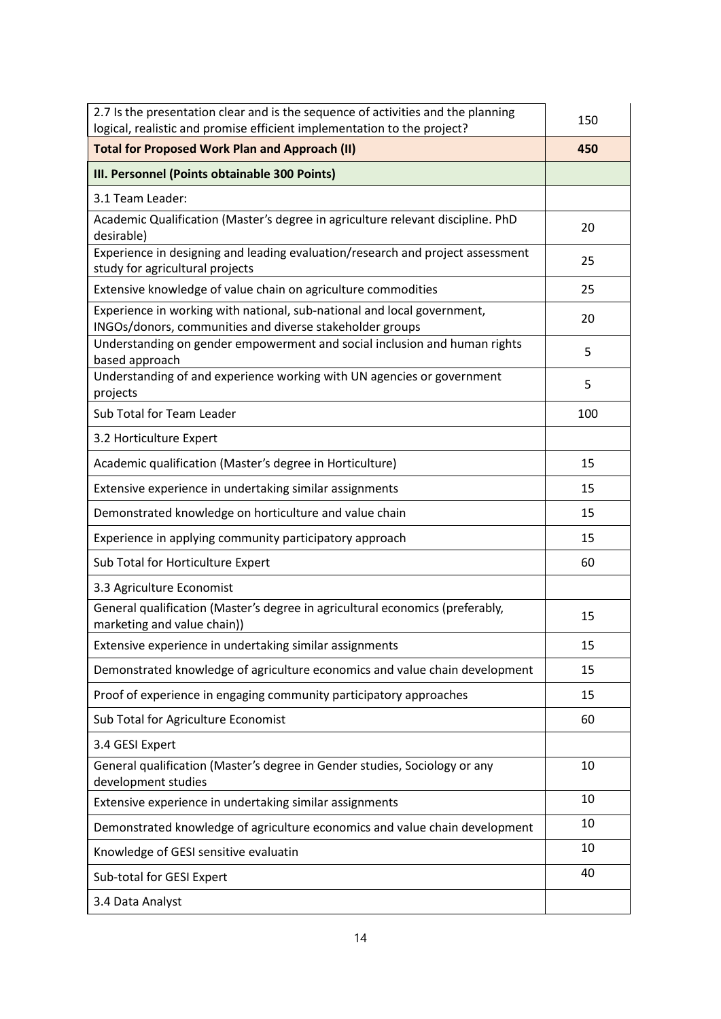| 2.7 Is the presentation clear and is the sequence of activities and the planning<br>logical, realistic and promise efficient implementation to the project? | 150 |
|-------------------------------------------------------------------------------------------------------------------------------------------------------------|-----|
| <b>Total for Proposed Work Plan and Approach (II)</b>                                                                                                       | 450 |
| III. Personnel (Points obtainable 300 Points)                                                                                                               |     |
| 3.1 Team Leader:                                                                                                                                            |     |
| Academic Qualification (Master's degree in agriculture relevant discipline. PhD<br>desirable)                                                               | 20  |
| Experience in designing and leading evaluation/research and project assessment<br>study for agricultural projects                                           | 25  |
| Extensive knowledge of value chain on agriculture commodities                                                                                               | 25  |
| Experience in working with national, sub-national and local government,<br>INGOs/donors, communities and diverse stakeholder groups                         | 20  |
| Understanding on gender empowerment and social inclusion and human rights<br>based approach                                                                 | 5   |
| Understanding of and experience working with UN agencies or government<br>projects                                                                          | 5   |
| Sub Total for Team Leader                                                                                                                                   | 100 |
| 3.2 Horticulture Expert                                                                                                                                     |     |
| Academic qualification (Master's degree in Horticulture)                                                                                                    | 15  |
| Extensive experience in undertaking similar assignments                                                                                                     | 15  |
| Demonstrated knowledge on horticulture and value chain                                                                                                      | 15  |
| Experience in applying community participatory approach                                                                                                     | 15  |
| Sub Total for Horticulture Expert                                                                                                                           | 60  |
| 3.3 Agriculture Economist                                                                                                                                   |     |
| General qualification (Master's degree in agricultural economics (preferably,<br>marketing and value chain))                                                | 15  |
| Extensive experience in undertaking similar assignments                                                                                                     | 15  |
| Demonstrated knowledge of agriculture economics and value chain development                                                                                 | 15  |
| Proof of experience in engaging community participatory approaches                                                                                          | 15  |
| Sub Total for Agriculture Economist                                                                                                                         | 60  |
| 3.4 GESI Expert                                                                                                                                             |     |
| General qualification (Master's degree in Gender studies, Sociology or any<br>development studies                                                           | 10  |
| Extensive experience in undertaking similar assignments                                                                                                     | 10  |
| Demonstrated knowledge of agriculture economics and value chain development                                                                                 | 10  |
| Knowledge of GESI sensitive evaluatin                                                                                                                       | 10  |
| Sub-total for GESI Expert                                                                                                                                   | 40  |
| 3.4 Data Analyst                                                                                                                                            |     |